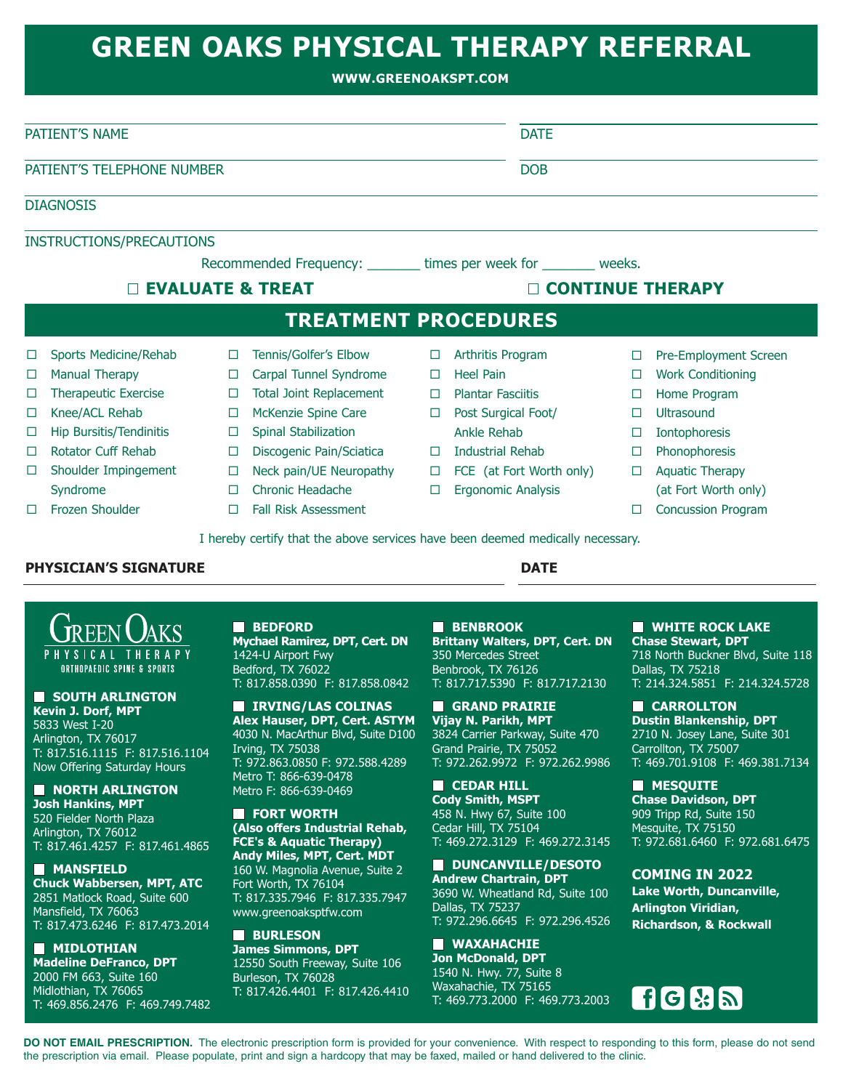## **GREEN OAKS PHYSICAL THERAPY REFERRAL**

**WWW.GREENOAKSPT.COM**

| PATIENT'S NAME             |                                 |        |                                                                    |        | <b>DATE</b>               |        |                          |  |
|----------------------------|---------------------------------|--------|--------------------------------------------------------------------|--------|---------------------------|--------|--------------------------|--|
| PATIENT'S TELEPHONE NUMBER |                                 |        |                                                                    |        | <b>DOB</b>                |        |                          |  |
|                            | <b>DIAGNOSIS</b>                |        |                                                                    |        |                           |        |                          |  |
|                            | <b>INSTRUCTIONS/PRECAUTIONS</b> |        |                                                                    |        |                           |        |                          |  |
|                            |                                 |        | Recommended Frequency: ________ times per week for ________ weeks. |        |                           |        |                          |  |
|                            | <b>EVALUATE &amp; TREAT</b>     |        |                                                                    |        | <b>CONTINUE THERAPY</b>   |        |                          |  |
|                            |                                 |        | <b>TREATMENT PROCEDURES</b>                                        |        |                           |        |                          |  |
| □                          | Sports Medicine/Rehab           | □      | Tennis/Golfer's Elbow                                              | $\Box$ | Arthritis Program         | □      | Pre-Employment Screen    |  |
| □                          | <b>Manual Therapy</b>           | $\Box$ | Carpal Tunnel Syndrome                                             | $\Box$ | <b>Heel Pain</b>          | $\Box$ | <b>Work Conditioning</b> |  |
| □                          | <b>Therapeutic Exercise</b>     | $\Box$ | <b>Total Joint Replacement</b>                                     | $\Box$ | <b>Plantar Fasciitis</b>  |        | Home Program             |  |
| □                          | Knee/ACL Rehab                  | □      | McKenzie Spine Care                                                | $\Box$ | Post Surgical Foot/       |        | Ultrasound               |  |
| □                          | Hip Bursitis/Tendinitis         | □      | Spinal Stabilization                                               |        | Ankle Rehab               |        | Iontophoresis            |  |
| □                          | <b>Rotator Cuff Rehab</b>       | $\Box$ | Discogenic Pain/Sciatica                                           | $\Box$ | Industrial Rehab          | $\Box$ | Phonophoresis            |  |
|                            | Shoulder Impingement            | $\Box$ | Neck pain/UE Neuropathy                                            | $\Box$ | FCE (at Fort Worth only)  | П      | <b>Aquatic Therapy</b>   |  |
| □                          |                                 |        | Chronic Headache                                                   | $\Box$ | <b>Ergonomic Analysis</b> |        | (at Fort Worth only)     |  |
|                            | Syndrome                        | $\Box$ |                                                                    |        |                           |        |                          |  |

## **PHYSICIAN'S SIGNATURE DATE**



**SOUTH ARLINGTON Kevin J. Dorf, MPT** 5833 West I-20 Arlington, TX 76017 T: 817.516.1115 F: 817.516.1104 Now Offering Saturday Hours

**NORTH ARLINGTON Josh Hankins, MPT** 520 Fielder North Plaza Arlington, TX 76012 T: 817.461.4257 F: 817.461.4865

**MANSFIELD Chuck Wabbersen, MPT, ATC** 2851 Matlock Road, Suite 600 Mansfield, TX 76063 T: 817.473.6246 F: 817.473.2014

**NIDLOTHIAN Madeline DeFranco, DPT** 2000 FM 663, Suite 160 Midlothian, TX 76065 T: 469.856.2476 F: 469.749.7482

**BEDFORD Mychael Ramirez, DPT, Cert. DN** 1424-U Airport Fwy Bedford, TX 76022 T: 817.858.0390 F: 817.858.0842

 **IRVING/LAS COLINAS Alex Hauser, DPT, Cert. ASTYM** 4030 N. MacArthur Blvd, Suite D100 Irving, TX 75038 T: 972.863.0850 F: 972.588.4289 Metro T: 866-639-0478 Metro F: 866-639-0469

**E** FORT WORTH **(Also offers Industrial Rehab, FCE's & Aquatic Therapy) Andy Miles, MPT, Cert. MDT** 160 W. Magnolia Avenue, Suite 2 Fort Worth, TX 76104 T: 817.335.7946 F: 817.335.7947 www.greenoaksptfw.com

**RURLESON James Simmons, DPT**  12550 South Freeway, Suite 106 Burleson, TX 76028 T: 817.426.4401 F: 817.426.4410  **BENBROOK Brittany Walters, DPT, Cert. DN** 350 Mercedes Street Benbrook, TX 76126 T: 817.717.5390 F: 817.717.2130

**GRAND PRAIRIE Vijay N. Parikh, MPT** 3824 Carrier Parkway, Suite 470 Grand Prairie, TX 75052 T: 972.262.9972 F: 972.262.9986

**CEDAR HILL Cody Smith, MSPT** 458 N. Hwy 67, Suite 100 Cedar Hill, TX 75104 T: 469.272.3129 F: 469.272.3145

**B** DUNCANVILLE/DESOTO **Andrew Chartrain, DPT** 3690 W. Wheatland Rd, Suite 100 Dallas, TX 75237 T: 972.296.6645 F: 972.296.4526

 **WAXAHACHIE Jon McDonald, DPT** 1540 N. Hwy. 77, Suite 8 Waxahachie, TX 75165 T: 469.773.2000 F: 469.773.2003 **NUMBER ROCK LAKE Chase Stewart, DPT** 718 North Buckner Blvd, Suite 118 Dallas, TX 75218 T: 214.324.5851 F: 214.324.5728

 **CARROLLTON Dustin Blankenship, DPT** 2710 N. Josey Lane, Suite 301 Carrollton, TX 75007 T: 469.701.9108 F: 469.381.7134

**MESQUITE Chase Davidson, DPT** 909 Tripp Rd, Suite 150 Mesquite, TX 75150 T: 972.681.6460 F: 972.681.6475

**COMING IN 2022 Lake Worth, Duncanville, Arlington Viridian, Richardson, & Rockwall**



**DO NOT EMAIL PRESCRIPTION.** The electronic prescription form is provided for your convenience. With respect to responding to this form, please do not send the prescription via email. Please populate, print and sign a hardcopy that may be faxed, mailed or hand delivered to the clinic.